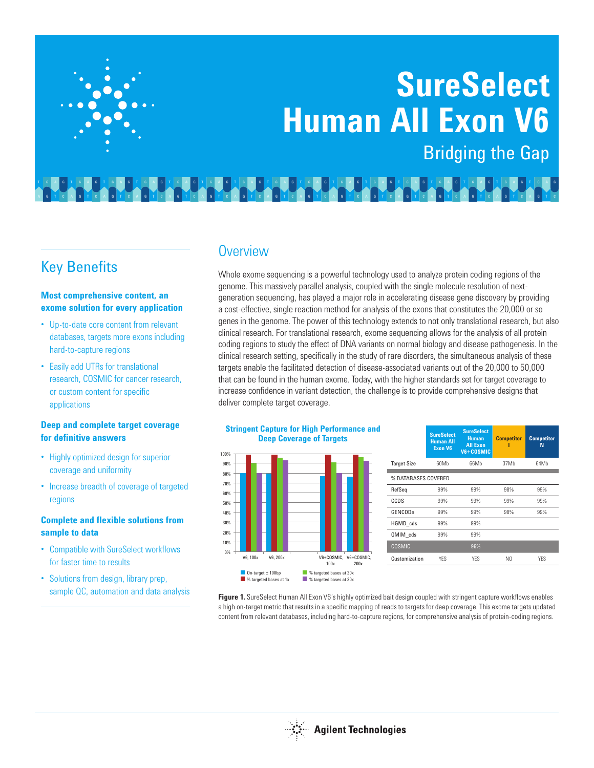# **SureSelect Human All Exon V6** Bridging the Gap

Key Benefits

#### **Most comprehensive content, an exome solution for every application**

- Up-to-date core content from relevant databases, targets more exons including hard-to-capture regions
- Easily add UTRs for translational research, COSMIC for cancer research, or custom content for specific applications

### **Deep and complete target coverage for definitive answers**

- Highly optimized design for superior coverage and uniformity
- Increase breadth of coverage of targeted regions

## **Complete and flexible solutions from sample to data**

- Compatible with SureSelect workflows for faster time to results
- Solutions from design, library prep,

# **Overview**

Whole exome sequencing is a powerful technology used to analyze protein coding regions of the genome. This massively parallel analysis, coupled with the single molecule resolution of nextgeneration sequencing, has played a major role in accelerating disease gene discovery by providing a cost-effective, single reaction method for analysis of the exons that constitutes the 20,000 or so genes in the genome. The power of this technology extends to not only translational research, but also clinical research. For translational research, exome sequencing allows for the analysis of all protein coding regions to study the effect of DNA variants on normal biology and disease pathogenesis. In the clinical research setting, specifically in the study of rare disorders, the simultaneous analysis of these targets enable the facilitated detection of disease-associated variants out of the 20,000 to 50,000 that can be found in the human exome. Today, with the higher standards set for target coverage to increase confidence in variant detection, the challenge is to provide comprehensive designs that deliver complete target coverage.



| % DATABASES COVERED |  |  |  |  |  |
|---------------------|--|--|--|--|--|
|                     |  |  |  |  |  |
|                     |  |  |  |  |  |
|                     |  |  |  |  |  |
|                     |  |  |  |  |  |
|                     |  |  |  |  |  |
|                     |  |  |  |  |  |
|                     |  |  |  |  |  |
| 64Mb                |  |  |  |  |  |

sample QC, automation and data analysis **Figure 1.** SureSelect Human All Exon V6's highly optimized bait design coupled with stringent capture workflows enables a high on-target metric that results in a specific mapping of reads to targets for deep coverage. This exome targets updated content from relevant databases, including hard-to-capture regions, for comprehensive analysis of protein-coding regions.